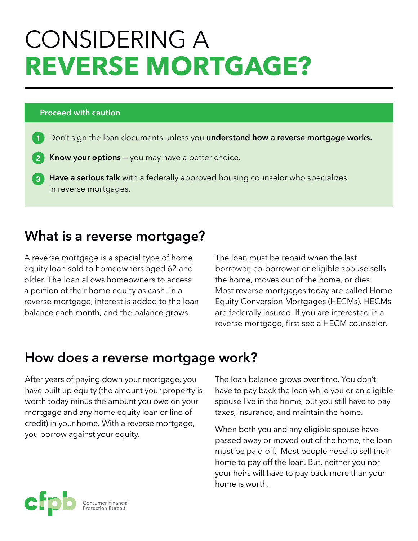# CONSIDERING A **REVERSE MORTGAGE?**

#### **Proceed with caution**

- Don't sign the loan documents unless you **understand how a reverse mortgage works.**
- **Know your options** you may have a better choice.
- **Have a serious talk** with a federally approved housing counselor who specializes  $\overline{3}$ in reverse mortgages.

# **What is a reverse mortgage?**

A reverse mortgage is a special type of home equity loan sold to homeowners aged 62 and older. The loan allows homeowners to access a portion of their home equity as cash. In a reverse mortgage, interest is added to the loan balance each month, and the balance grows.

The loan must be repaid when the last borrower, co-borrower or eligible spouse sells the home, moves out of the home, or dies. Most reverse mortgages today are called Home Equity Conversion Mortgages (HECMs). HECMs are federally insured. If you are interested in a reverse mortgage, first see a HECM counselor.

# **How does a reverse mortgage work?**

After years of paying down your mortgage, you have built up equity (the amount your property is worth today minus the amount you owe on your mortgage and any home equity loan or line of credit) in your home. With a reverse mortgage, you borrow against your equity.

The loan balance grows over time. You don't have to pay back the loan while you or an eligible spouse live in the home, but you still have to pay taxes, insurance, and maintain the home.

When both you and any eligible spouse have passed away or moved out of the home, the loan must be paid off. Most people need to sell their home to pay off the loan. But, neither you nor your heirs will have to pay back more than your home is worth.

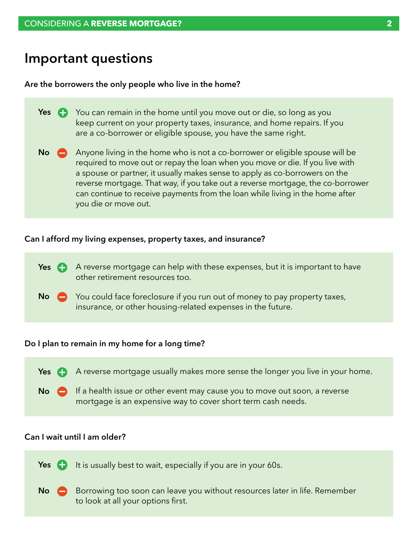### **Important questions**

#### **Are the borrowers the only people who live in the home?**

| Yes $\bigoplus$ | You can remain in the home until you move out or die, so long as you<br>keep current on your property taxes, insurance, and home repairs. If you<br>are a co-borrower or eligible spouse, you have the same right.                                                                                                                                                                                                                        |
|-----------------|-------------------------------------------------------------------------------------------------------------------------------------------------------------------------------------------------------------------------------------------------------------------------------------------------------------------------------------------------------------------------------------------------------------------------------------------|
| <b>No</b>       | Anyone living in the home who is not a co-borrower or eligible spouse will be<br>required to move out or repay the loan when you move or die. If you live with<br>a spouse or partner, it usually makes sense to apply as co-borrowers on the<br>reverse mortgage. That way, if you take out a reverse mortgage, the co-borrower<br>can continue to receive payments from the loan while living in the home after<br>you die or move out. |

#### **Can I afford my living expenses, property taxes, and insurance?**

Yes **A** A reverse mortgage can help with these expenses, but it is important to have other retirement resources too. You could face foreclosure if you run out of money to pay property taxes, **No**

insurance, or other housing-related expenses in the future.

#### **Do I plan to remain in my home for a long time?**



#### **Can I wait until I am older?**

It is usually best to wait, especially if you are in your 60s. **Yes**

Borrowing too soon can leave you without resources later in life. Remember to look at all your options first. **No**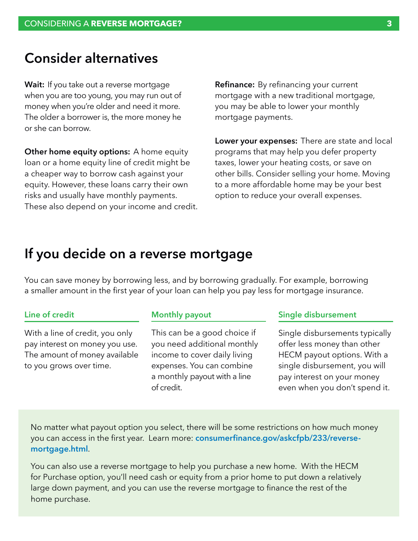### **Consider alternatives**

**Wait:** If you take out a reverse mortgage when you are too young, you may run out of money when you're older and need it more. The older a borrower is, the more money he or she can borrow.

**Other home equity options:** A home equity loan or a home equity line of credit might be a cheaper way to borrow cash against your equity. However, these loans carry their own risks and usually have monthly payments. These also depend on your income and credit. **Refinance:** By refinancing your current mortgage with a new traditional mortgage, you may be able to lower your monthly mortgage payments.

**Lower your expenses:** There are state and local programs that may help you defer property taxes, lower your heating costs, or save on other bills. Consider selling your home. Moving to a more affordable home may be your best option to reduce your overall expenses.

### **If you decide on a reverse mortgage**

You can save money by borrowing less, and by borrowing gradually. For example, borrowing a smaller amount in the first year of your loan can help you pay less for mortgage insurance.

#### **Line of credit**

With a line of credit, you only pay interest on money you use. The amount of money available to you grows over time.

#### **Monthly payout**

This can be a good choice if you need additional monthly income to cover daily living expenses. You can combine a monthly payout with a line of credit.

#### **Single disbursement**

Single disbursements typically offer less money than other HECM payout options. With a single disbursement, you will pay interest on your money even when you don't spend it.

No matter what payout option you select, there will be some restrictions on how much money you can access in the first year. Learn more: **[consumerfinance.gov/askcfpb/233/reverse](http://www.consumerfinance.gov/askcfpb/233/reverse-mortgage.html)[mortgage.html](http://www.consumerfinance.gov/askcfpb/233/reverse-mortgage.html)**.

You can also use a reverse mortgage to help you purchase a new home. With the HECM for Purchase option, you'll need cash or equity from a prior home to put down a relatively large down payment, and you can use the reverse mortgage to finance the rest of the home purchase.